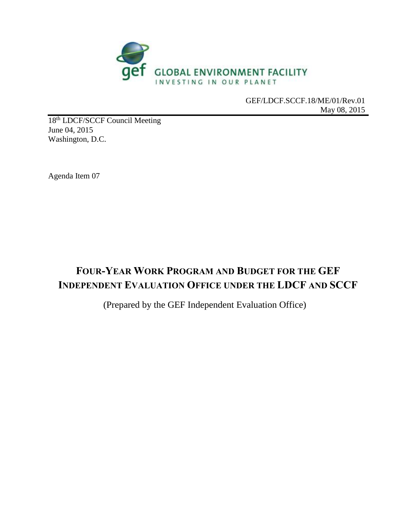

GEF/LDCF.SCCF.18/ME/01/Rev.01 May 08, 2015

18<sup>th</sup> LDCF/SCCF Council Meeting June 04, 2015 Washington, D.C.

Agenda Item 07

# **FOUR-YEAR WORK PROGRAM AND BUDGET FOR THE GEF INDEPENDENT EVALUATION OFFICE UNDER THE LDCF AND SCCF**

(Prepared by the GEF Independent Evaluation Office)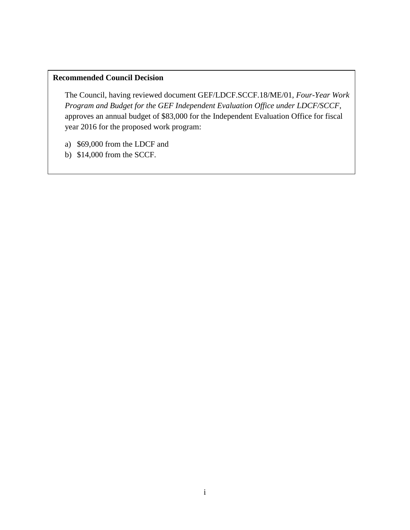#### **Recommended Council Decision**

The Council, having reviewed document GEF/LDCF.SCCF.18/ME/01, *Four-Year Work Program and Budget for the GEF Independent Evaluation Office under LDCF/SCCF*, approves an annual budget of \$83,000 for the Independent Evaluation Office for fiscal year 2016 for the proposed work program:

- a) \$69,000 from the LDCF and
- b) \$14,000 from the SCCF.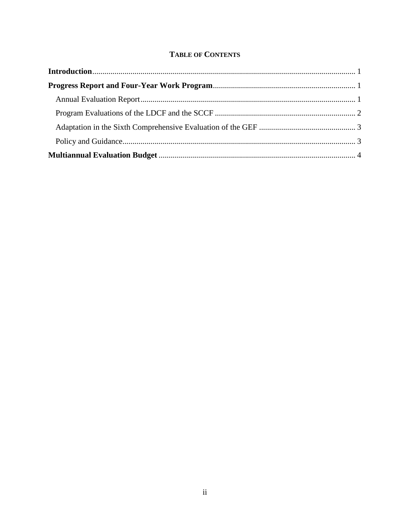#### **TABLE OF CONTENTS**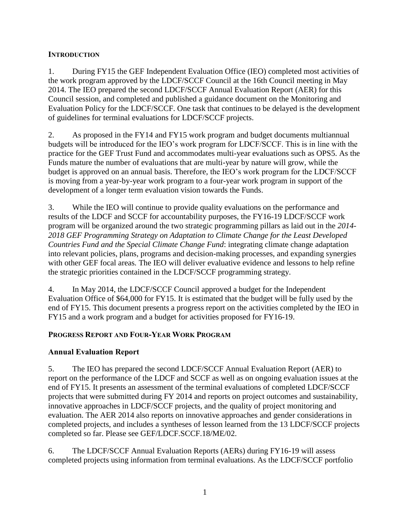#### <span id="page-3-0"></span>**INTRODUCTION**

1. During FY15 the GEF Independent Evaluation Office (IEO) completed most activities of the work program approved by the LDCF/SCCF Council at the 16th Council meeting in May 2014. The IEO prepared the second LDCF/SCCF Annual Evaluation Report (AER) for this Council session, and completed and published a guidance document on the Monitoring and Evaluation Policy for the LDCF/SCCF. One task that continues to be delayed is the development of guidelines for terminal evaluations for LDCF/SCCF projects.

2. As proposed in the FY14 and FY15 work program and budget documents multiannual budgets will be introduced for the IEO's work program for LDCF/SCCF. This is in line with the practice for the GEF Trust Fund and accommodates multi-year evaluations such as OPS5. As the Funds mature the number of evaluations that are multi-year by nature will grow, while the budget is approved on an annual basis. Therefore, the IEO's work program for the LDCF/SCCF is moving from a year-by-year work program to a four-year work program in support of the development of a longer term evaluation vision towards the Funds.

3. While the IEO will continue to provide quality evaluations on the performance and results of the LDCF and SCCF for accountability purposes, the FY16-19 LDCF/SCCF work program will be organized around the two strategic programming pillars as laid out in the *2014- 2018 GEF Programming Strategy on Adaptation to Climate Change for the Least Developed Countries Fund and the Special Climate Change Fund*: integrating climate change adaptation into relevant policies, plans, programs and decision-making processes, and expanding synergies with other GEF focal areas*.* The IEO will deliver evaluative evidence and lessons to help refine the strategic priorities contained in the LDCF/SCCF programming strategy.

4. In May 2014, the LDCF/SCCF Council approved a budget for the Independent Evaluation Office of \$64,000 for FY15. It is estimated that the budget will be fully used by the end of FY15. This document presents a progress report on the activities completed by the IEO in FY15 and a work program and a budget for activities proposed for FY16-19.

### <span id="page-3-1"></span>**PROGRESS REPORT AND FOUR-YEAR WORK PROGRAM**

### <span id="page-3-2"></span>**Annual Evaluation Report**

5. The IEO has prepared the second LDCF/SCCF Annual Evaluation Report (AER) to report on the performance of the LDCF and SCCF as well as on ongoing evaluation issues at the end of FY15. It presents an assessment of the terminal evaluations of completed LDCF/SCCF projects that were submitted during FY 2014 and reports on project outcomes and sustainability, innovative approaches in LDCF/SCCF projects, and the quality of project monitoring and evaluation. The AER 2014 also reports on innovative approaches and gender considerations in completed projects, and includes a syntheses of lesson learned from the 13 LDCF/SCCF projects completed so far. Please see GEF/LDCF.SCCF.18/ME/02.

6. The LDCF/SCCF Annual Evaluation Reports (AERs) during FY16-19 will assess completed projects using information from terminal evaluations. As the LDCF/SCCF portfolio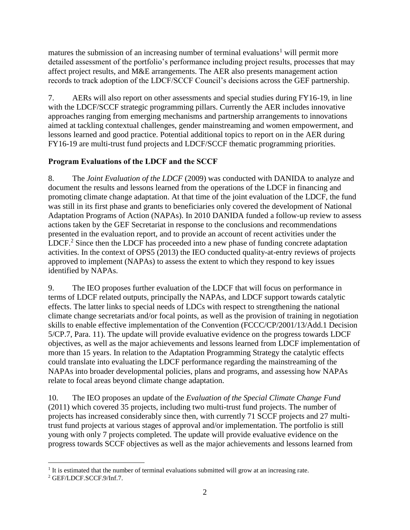matures the submission of an increasing number of terminal evaluations<sup>1</sup> will permit more detailed assessment of the portfolio's performance including project results, processes that may affect project results, and M&E arrangements. The AER also presents management action records to track adoption of the LDCF/SCCF Council's decisions across the GEF partnership.

7. AERs will also report on other assessments and special studies during FY16-19, in line with the LDCF/SCCF strategic programming pillars. Currently the AER includes innovative approaches ranging from emerging mechanisms and partnership arrangements to innovations aimed at tackling contextual challenges, gender mainstreaming and women empowerment, and lessons learned and good practice. Potential additional topics to report on in the AER during FY16-19 are multi-trust fund projects and LDCF/SCCF thematic programming priorities.

### <span id="page-4-0"></span>**Program Evaluations of the LDCF and the SCCF**

8. The *Joint Evaluation of the LDCF* (2009) was conducted with DANIDA to analyze and document the results and lessons learned from the operations of the LDCF in financing and promoting climate change adaptation. At that time of the joint evaluation of the LDCF, the fund was still in its first phase and grants to beneficiaries only covered the development of National Adaptation Programs of Action (NAPAs). In 2010 DANIDA funded a follow-up review to assess actions taken by the GEF Secretariat in response to the conclusions and recommendations presented in the evaluation report, and to provide an account of recent activities under the LDCF.<sup>2</sup> Since then the LDCF has proceeded into a new phase of funding concrete adaptation activities. In the context of OPS5 (2013) the IEO conducted quality-at-entry reviews of projects approved to implement (NAPAs) to assess the extent to which they respond to key issues identified by NAPAs.

9. The IEO proposes further evaluation of the LDCF that will focus on performance in terms of LDCF related outputs, principally the NAPAs, and LDCF support towards catalytic effects. The latter links to special needs of LDCs with respect to strengthening the national climate change secretariats and/or focal points, as well as the provision of training in negotiation skills to enable effective implementation of the Convention (FCCC/CP/2001/13/Add.1 Decision 5/CP.7, Para. 11). The update will provide evaluative evidence on the progress towards LDCF objectives, as well as the major achievements and lessons learned from LDCF implementation of more than 15 years. In relation to the Adaptation Programming Strategy the catalytic effects could translate into evaluating the LDCF performance regarding the mainstreaming of the NAPAs into broader developmental policies, plans and programs, and assessing how NAPAs relate to focal areas beyond climate change adaptation.

10. The IEO proposes an update of the *Evaluation of the Special Climate Change Fund*  (2011) which covered 35 projects, including two multi-trust fund projects. The number of projects has increased considerably since then, with currently 71 SCCF projects and 27 multitrust fund projects at various stages of approval and/or implementation. The portfolio is still young with only 7 projects completed. The update will provide evaluative evidence on the progress towards SCCF objectives as well as the major achievements and lessons learned from

 $\overline{a}$ <sup>1</sup> It is estimated that the number of terminal evaluations submitted will grow at an increasing rate.

<sup>2</sup> GEF/LDCF.SCCF.9/Inf.7.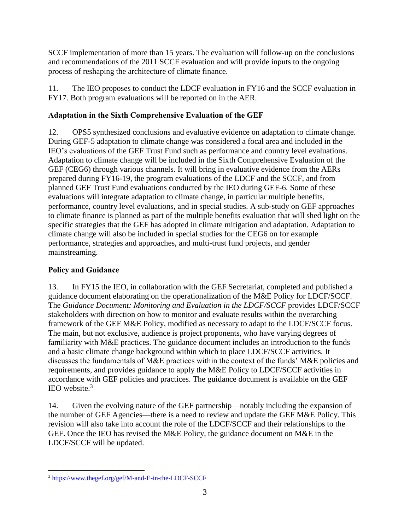SCCF implementation of more than 15 years. The evaluation will follow-up on the conclusions and recommendations of the 2011 SCCF evaluation and will provide inputs to the ongoing process of reshaping the architecture of climate finance.

11. The IEO proposes to conduct the LDCF evaluation in FY16 and the SCCF evaluation in FY17. Both program evaluations will be reported on in the AER.

# <span id="page-5-0"></span>**Adaptation in the Sixth Comprehensive Evaluation of the GEF**

12. OPS5 synthesized conclusions and evaluative evidence on adaptation to climate change. During GEF-5 adaptation to climate change was considered a focal area and included in the IEO's evaluations of the GEF Trust Fund such as performance and country level evaluations. Adaptation to climate change will be included in the Sixth Comprehensive Evaluation of the GEF (CEG6) through various channels. It will bring in evaluative evidence from the AERs prepared during FY16-19, the program evaluations of the LDCF and the SCCF, and from planned GEF Trust Fund evaluations conducted by the IEO during GEF-6. Some of these evaluations will integrate adaptation to climate change, in particular multiple benefits, performance, country level evaluations, and in special studies. A sub-study on GEF approaches to climate finance is planned as part of the multiple benefits evaluation that will shed light on the specific strategies that the GEF has adopted in climate mitigation and adaptation. Adaptation to climate change will also be included in special studies for the CEG6 on for example performance, strategies and approaches, and multi-trust fund projects, and gender mainstreaming.

## <span id="page-5-1"></span>**Policy and Guidance**

13. In FY15 the IEO, in collaboration with the GEF Secretariat, completed and published a guidance document elaborating on the operationalization of the M&E Policy for LDCF/SCCF. The *Guidance Document: Monitoring and Evaluation in the LDCF/SCCF* provides LDCF/SCCF stakeholders with direction on how to monitor and evaluate results within the overarching framework of the GEF M&E Policy, modified as necessary to adapt to the LDCF/SCCF focus. The main, but not exclusive, audience is project proponents, who have varying degrees of familiarity with M&E practices. The guidance document includes an introduction to the funds and a basic climate change background within which to place LDCF/SCCF activities. It discusses the fundamentals of M&E practices within the context of the funds' M&E policies and requirements, and provides guidance to apply the M&E Policy to LDCF/SCCF activities in accordance with GEF policies and practices. The guidance document is available on the GEF IEO website. 3

14. Given the evolving nature of the GEF partnership—notably including the expansion of the number of GEF Agencies—there is a need to review and update the GEF M&E Policy. This revision will also take into account the role of the LDCF/SCCF and their relationships to the GEF. Once the IEO has revised the M&E Policy, the guidance document on M&E in the LDCF/SCCF will be updated.

 $\overline{a}$ <sup>3</sup> <https://www.thegef.org/gef/M-and-E-in-the-LDCF-SCCF>